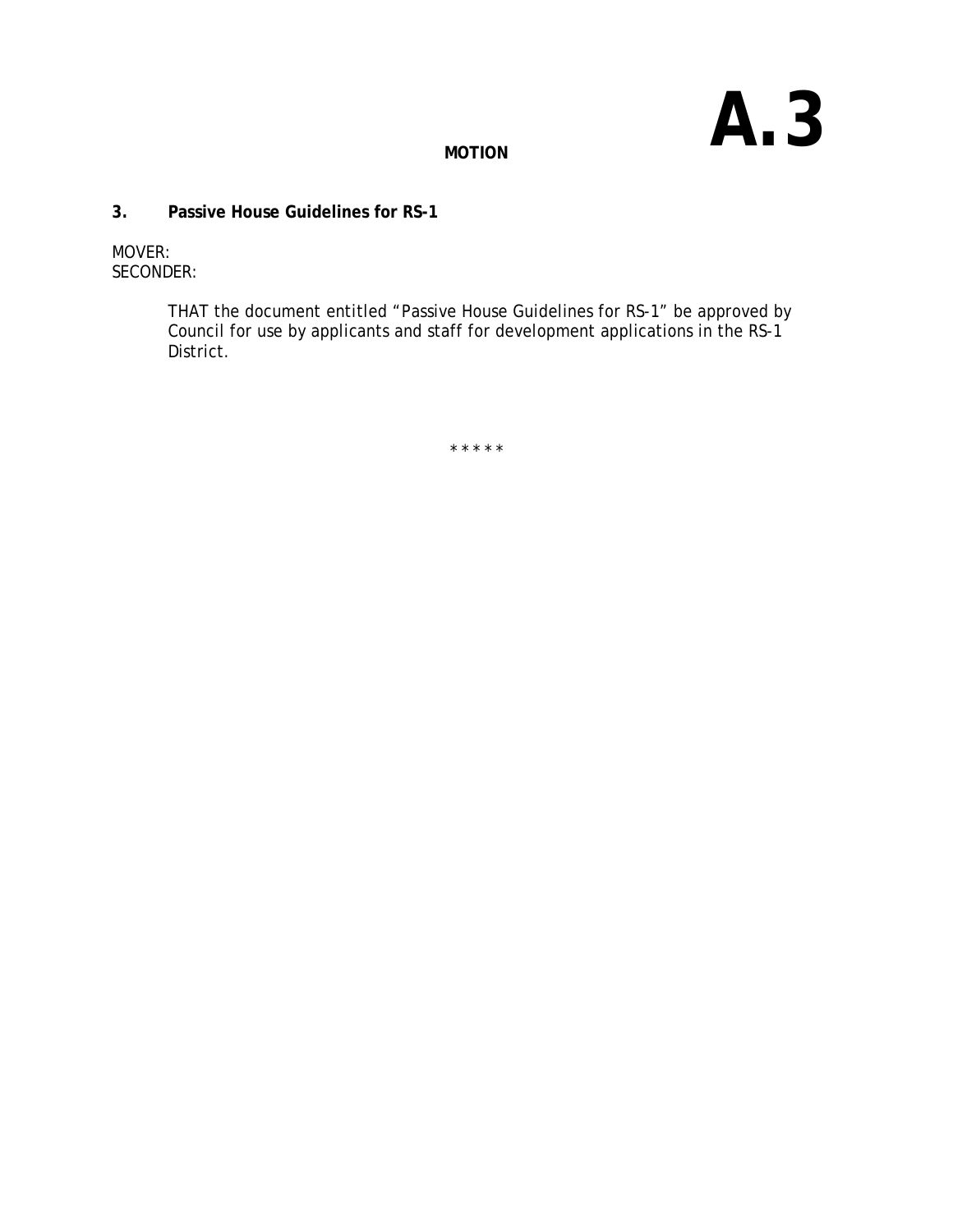# **A.3**

**MOTION**

#### **3. Passive House Guidelines for RS-1**

MOVER: SECONDER:

> THAT the document entitled "Passive House Guidelines for RS-1" be approved by Council for use by applicants and staff for development applications in the RS-1 District.

> > \* \* \* \* \*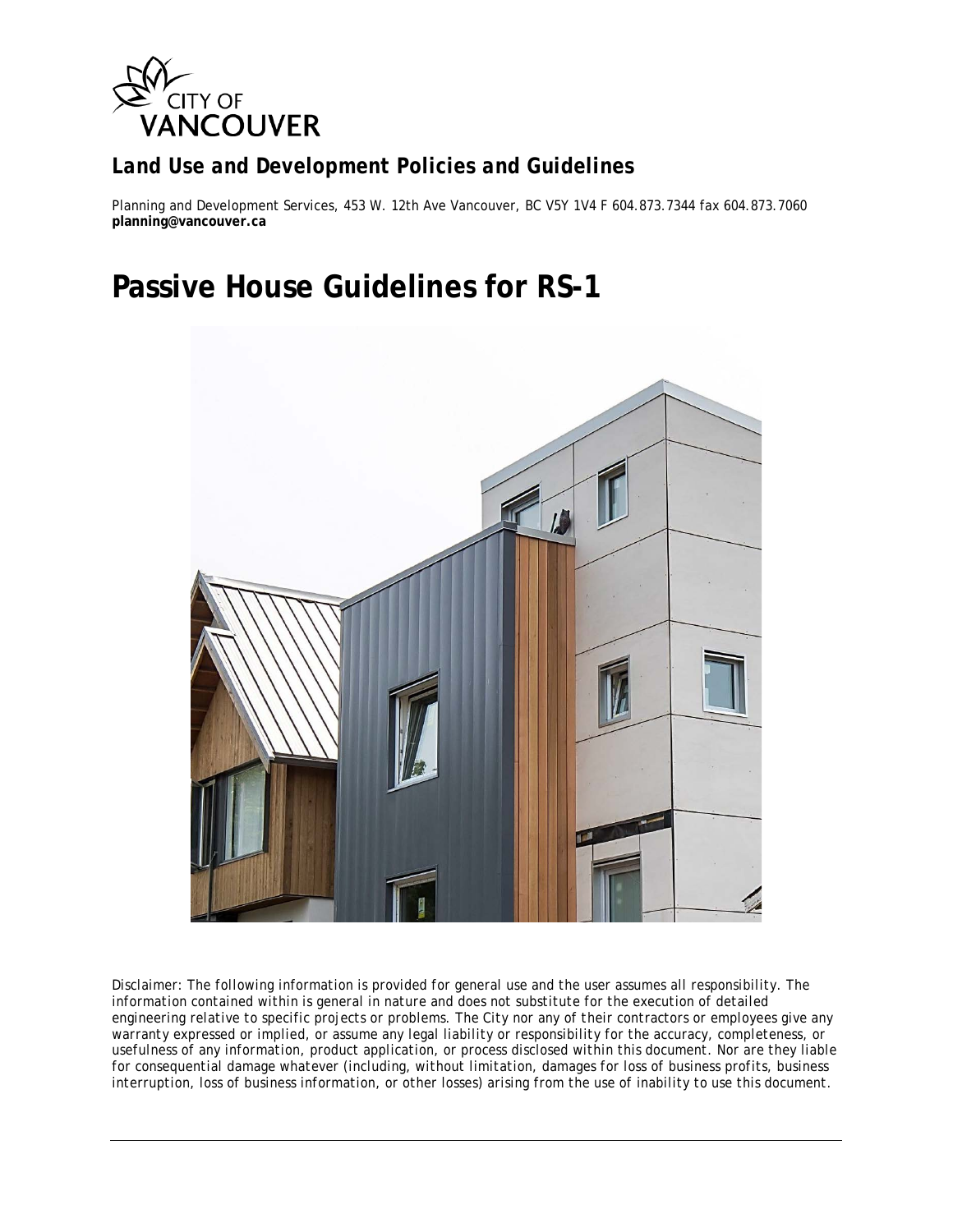

## *Land Use and Development Policies and Guidelines*

Planning and Development Services, 453 W. 12th Ave Vancouver, BC V5Y 1V4 F 604.873.7344 fax 604.873.7060 **planning@vancouver.ca**

## **Passive House Guidelines for RS-1**



*Disclaimer: The following information is provided for general use and the user assumes all responsibility. The information contained within is general in nature and does not substitute for the execution of detailed engineering relative to specific projects or problems. The City nor any of their contractors or employees give any warranty expressed or implied, or assume any legal liability or responsibility for the accuracy, completeness, or usefulness of any information, product application, or process disclosed within this document. Nor are they liable for consequential damage whatever (including, without limitation, damages for loss of business profits, business interruption, loss of business information, or other losses) arising from the use of inability to use this document.*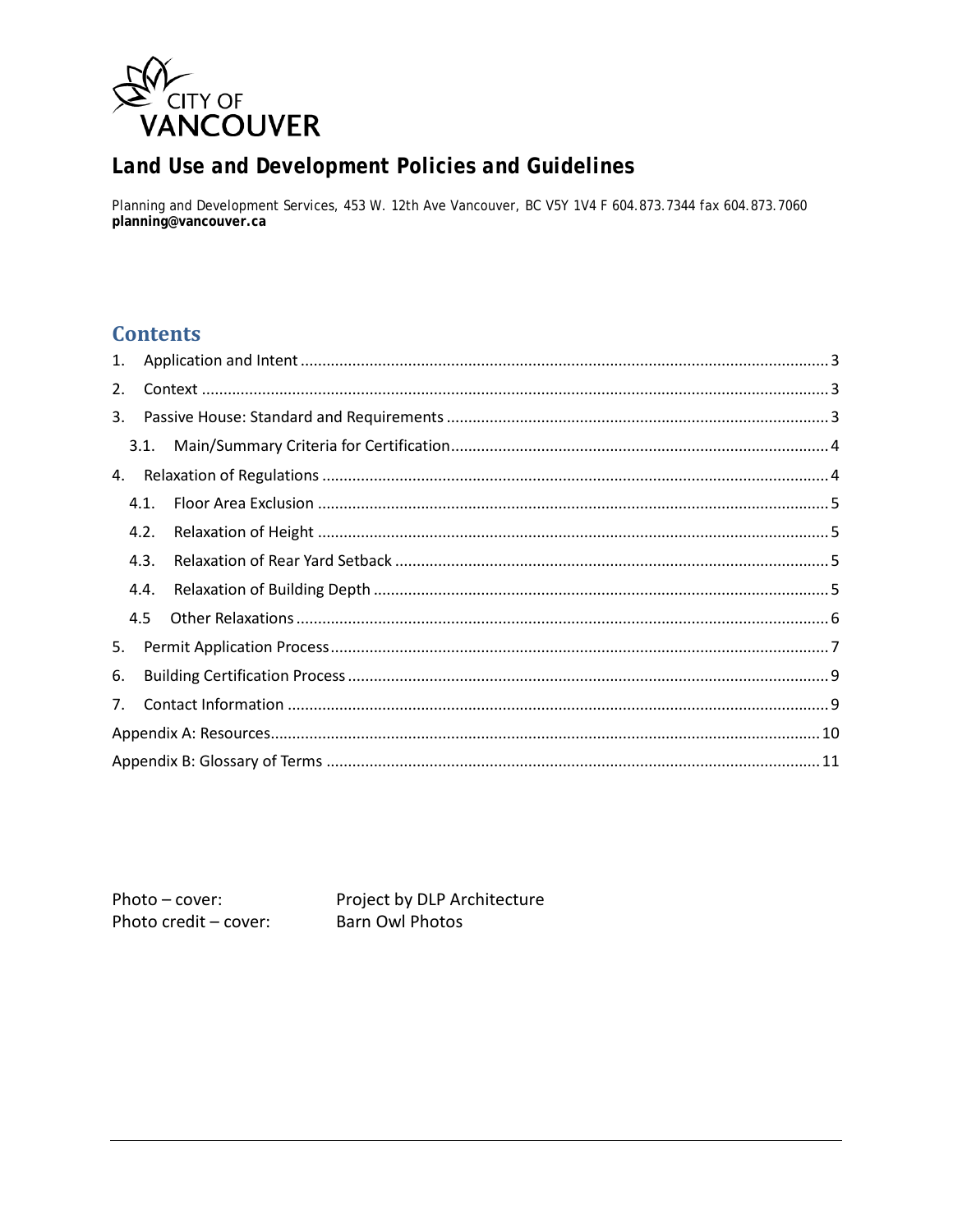

## Land Use and Development Policies and Guidelines

Planning and Development Services, 453 W. 12th Ave Vancouver, BC V5Y 1V4 F 604.873.7344 fax 604.873.7060 planning@vancouver.ca

## **Contents**

| 1. |      |  |  |  |  |  |
|----|------|--|--|--|--|--|
| 2. |      |  |  |  |  |  |
| 3. |      |  |  |  |  |  |
|    | 3.1. |  |  |  |  |  |
|    |      |  |  |  |  |  |
|    | 4.1. |  |  |  |  |  |
|    | 4.2. |  |  |  |  |  |
|    | 4.3. |  |  |  |  |  |
|    | 4.4. |  |  |  |  |  |
|    | 4.5  |  |  |  |  |  |
| 5. |      |  |  |  |  |  |
| 6. |      |  |  |  |  |  |
|    | 7.   |  |  |  |  |  |
|    |      |  |  |  |  |  |
|    |      |  |  |  |  |  |

Photo-cover: Photo credit - cover: Project by DLP Architecture **Barn Owl Photos**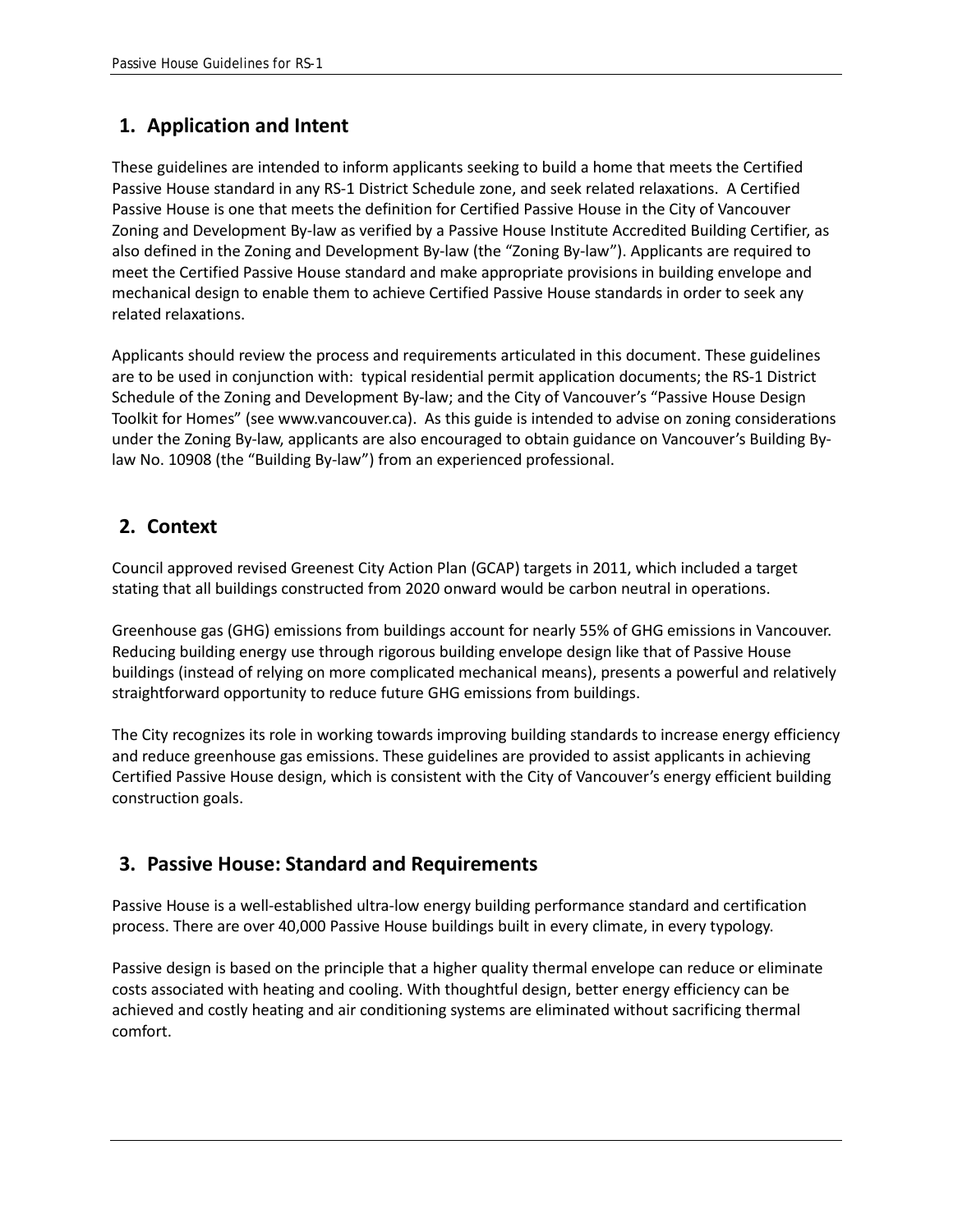## **1. Application and Intent**

These guidelines are intended to inform applicants seeking to build a home that meets the Certified Passive House standard in any RS-1 District Schedule zone, and seek related relaxations. A Certified Passive House is one that meets the definition for Certified Passive House in the City of Vancouver Zoning and Development By-law as verified by a Passive House Institute Accredited Building Certifier, as also defined in the Zoning and Development By-law (the "Zoning By-law"). Applicants are required to meet the Certified Passive House standard and make appropriate provisions in building envelope and mechanical design to enable them to achieve Certified Passive House standards in order to seek any related relaxations.

Applicants should review the process and requirements articulated in this document. These guidelines are to be used in conjunction with: typical residential permit application documents; the RS-1 District Schedule of the Zoning and Development By-law; and the City of Vancouver's "Passive House Design Toolkit for Homes" (see www.vancouver.ca). As this guide is intended to advise on zoning considerations under the Zoning By-law, applicants are also encouraged to obtain guidance on Vancouver's Building Bylaw No. 10908 (the "Building By-law") from an experienced professional.

## **2. Context**

Council approved revised Greenest City Action Plan (GCAP) targets in 2011, which included a target stating that all buildings constructed from 2020 onward would be carbon neutral in operations.

Greenhouse gas (GHG) emissions from buildings account for nearly 55% of GHG emissions in Vancouver. Reducing building energy use through rigorous building envelope design like that of Passive House buildings (instead of relying on more complicated mechanical means), presents a powerful and relatively straightforward opportunity to reduce future GHG emissions from buildings.

The City recognizes its role in working towards improving building standards to increase energy efficiency and reduce greenhouse gas emissions. These guidelines are provided to assist applicants in achieving Certified Passive House design, which is consistent with the City of Vancouver's energy efficient building construction goals.

## **3. Passive House: Standard and Requirements**

Passive House is a well-established ultra-low energy building performance standard and certification process. There are over 40,000 Passive House buildings built in every climate, in every typology.

Passive design is based on the principle that a higher quality thermal envelope can reduce or eliminate costs associated with heating and cooling. With thoughtful design, better energy efficiency can be achieved and costly heating and air conditioning systems are eliminated without sacrificing thermal comfort.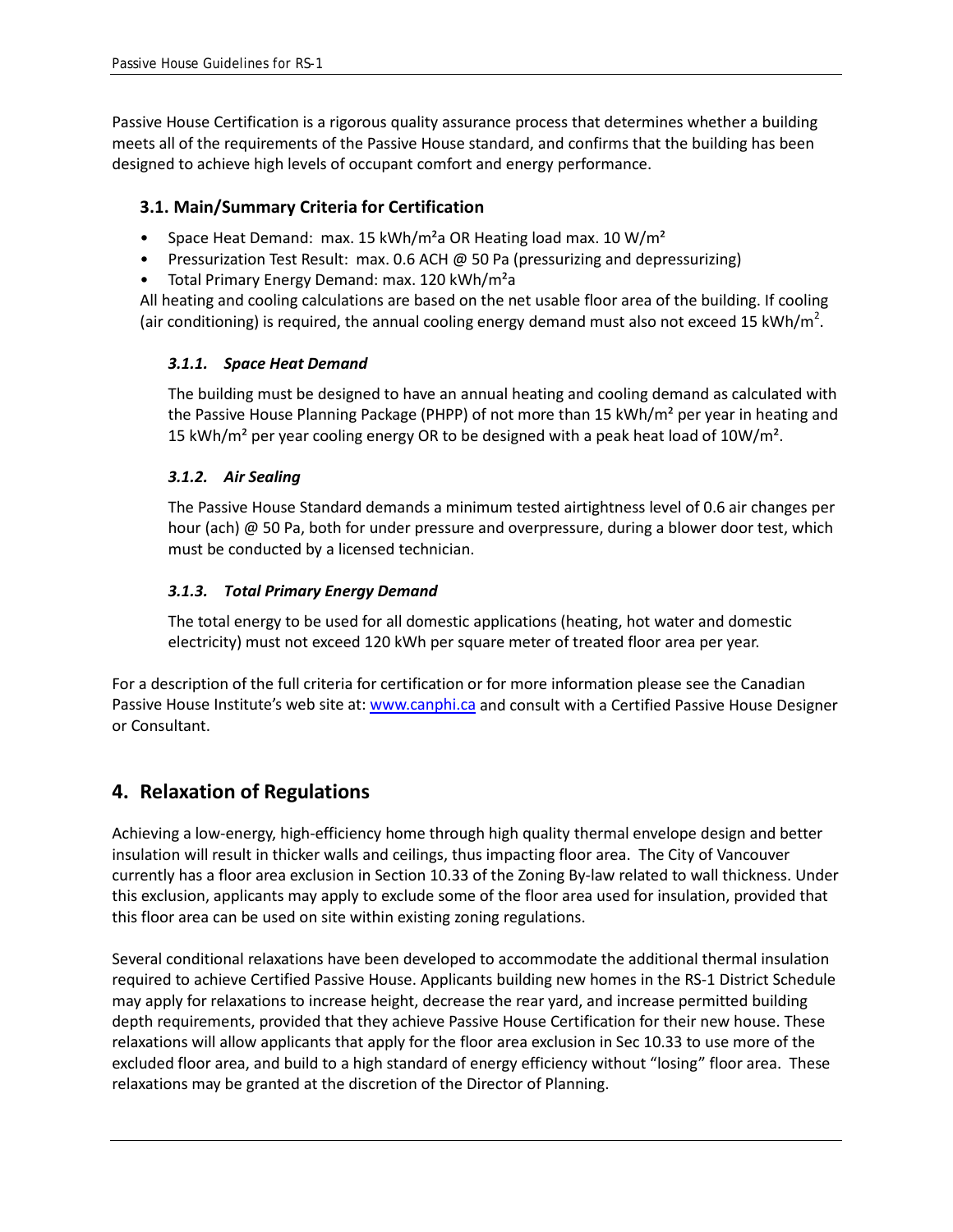Passive House Certification is a rigorous quality assurance process that determines whether a building meets all of the requirements of the Passive House standard, and confirms that the building has been designed to achieve high levels of occupant comfort and energy performance.

#### **3.1. Main/Summary Criteria for Certification**

- Space Heat Demand: max. 15 kWh/m<sup>2</sup>a OR Heating load max. 10 W/m<sup>2</sup>
- Pressurization Test Result: max. 0.6 ACH @ 50 Pa (pressurizing and depressurizing)
- Total Primary Energy Demand: max. 120 kWh/m<sup>2</sup>a

All heating and cooling calculations are based on the net usable floor area of the building. If cooling (air conditioning) is required, the annual cooling energy demand must also not exceed 15 kWh/m<sup>2</sup>.

#### *3.1.1. Space Heat Demand*

The building must be designed to have an annual heating and cooling demand as calculated with the Passive House Planning Package (PHPP) of not more than 15 kWh/m² per year in heating and 15 kWh/m<sup>2</sup> per year cooling energy OR to be designed with a peak heat load of  $10W/m<sup>2</sup>$ .

#### *3.1.2. Air Sealing*

The Passive House Standard demands a minimum tested airtightness level of 0.6 air changes per hour (ach) @ 50 Pa, both for under pressure and overpressure, during a blower door test, which must be conducted by a licensed technician.

#### *3.1.3. Total Primary Energy Demand*

The total energy to be used for all domestic applications (heating, hot water and domestic electricity) must not exceed 120 kWh per square meter of treated floor area per year.

For a description of the full criteria for certification or for more information please see the Canadian Passive House Institute's web site at: [www.canphi.ca](http://www.canphi.ca/) and consult with a Certified Passive House Designer or Consultant.

## **4. Relaxation of Regulations**

Achieving a low-energy, high-efficiency home through high quality thermal envelope design and better insulation will result in thicker walls and ceilings, thus impacting floor area. The City of Vancouver currently has a floor area exclusion in Section 10.33 of the Zoning By-law related to wall thickness. Under this exclusion, applicants may apply to exclude some of the floor area used for insulation, provided that this floor area can be used on site within existing zoning regulations.

Several conditional relaxations have been developed to accommodate the additional thermal insulation required to achieve Certified Passive House. Applicants building new homes in the RS-1 District Schedule may apply for relaxations to increase height, decrease the rear yard, and increase permitted building depth requirements, provided that they achieve Passive House Certification for their new house. These relaxations will allow applicants that apply for the floor area exclusion in Sec 10.33 to use more of the excluded floor area, and build to a high standard of energy efficiency without "losing" floor area. These relaxations may be granted at the discretion of the Director of Planning.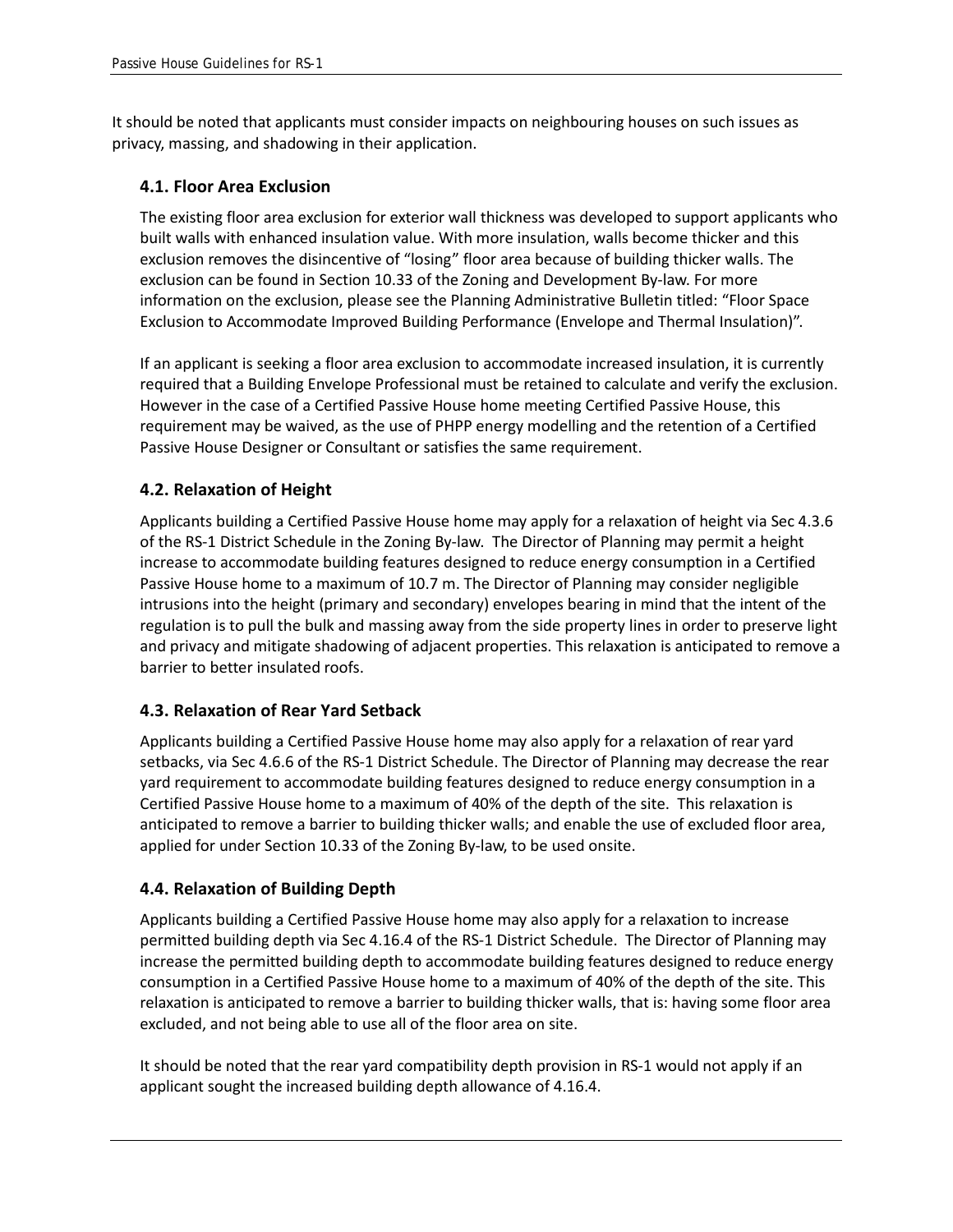It should be noted that applicants must consider impacts on neighbouring houses on such issues as privacy, massing, and shadowing in their application.

#### **4.1. Floor Area Exclusion**

The existing floor area exclusion for exterior wall thickness was developed to support applicants who built walls with enhanced insulation value. With more insulation, walls become thicker and this exclusion removes the disincentive of "losing" floor area because of building thicker walls. The exclusion can be found in Section 10.33 of the Zoning and Development By-law. For more information on the exclusion, please see the Planning Administrative Bulletin titled: "Floor Space Exclusion to Accommodate Improved Building Performance (Envelope and Thermal Insulation)".

If an applicant is seeking a floor area exclusion to accommodate increased insulation, it is currently required that a Building Envelope Professional must be retained to calculate and verify the exclusion. However in the case of a Certified Passive House home meeting Certified Passive House, this requirement may be waived, as the use of PHPP energy modelling and the retention of a Certified Passive House Designer or Consultant or satisfies the same requirement.

#### **4.2. Relaxation of Height**

Applicants building a Certified Passive House home may apply for a relaxation of height via Sec 4.3.6 of the RS-1 District Schedule in the Zoning By-law. The Director of Planning may permit a height increase to accommodate building features designed to reduce energy consumption in a Certified Passive House home to a maximum of 10.7 m. The Director of Planning may consider negligible intrusions into the height (primary and secondary) envelopes bearing in mind that the intent of the regulation is to pull the bulk and massing away from the side property lines in order to preserve light and privacy and mitigate shadowing of adjacent properties. This relaxation is anticipated to remove a barrier to better insulated roofs.

#### **4.3. Relaxation of Rear Yard Setback**

Applicants building a Certified Passive House home may also apply for a relaxation of rear yard setbacks, via Sec 4.6.6 of the RS-1 District Schedule. The Director of Planning may decrease the rear yard requirement to accommodate building features designed to reduce energy consumption in a Certified Passive House home to a maximum of 40% of the depth of the site. This relaxation is anticipated to remove a barrier to building thicker walls; and enable the use of excluded floor area, applied for under Section 10.33 of the Zoning By-law, to be used onsite.

#### **4.4. Relaxation of Building Depth**

Applicants building a Certified Passive House home may also apply for a relaxation to increase permitted building depth via Sec 4.16.4 of the RS-1 District Schedule. The Director of Planning may increase the permitted building depth to accommodate building features designed to reduce energy consumption in a Certified Passive House home to a maximum of 40% of the depth of the site. This relaxation is anticipated to remove a barrier to building thicker walls, that is: having some floor area excluded, and not being able to use all of the floor area on site.

It should be noted that the rear yard compatibility depth provision in RS-1 would not apply if an applicant sought the increased building depth allowance of 4.16.4.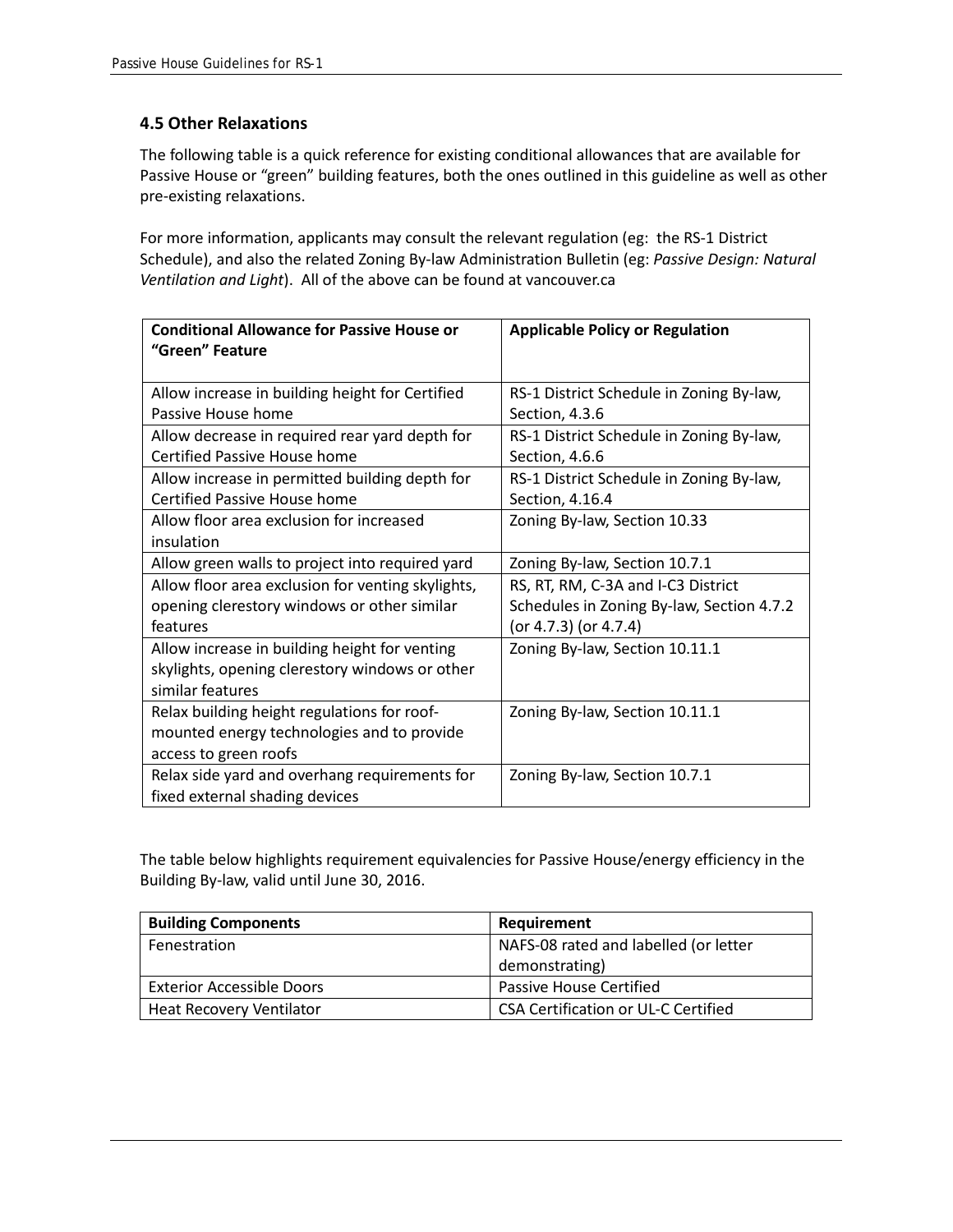#### **4.5 Other Relaxations**

The following table is a quick reference for existing conditional allowances that are available for Passive House or "green" building features, both the ones outlined in this guideline as well as other pre-existing relaxations.

For more information, applicants may consult the relevant regulation (eg: the RS-1 District Schedule), and also the related Zoning By-law Administration Bulletin (eg: *Passive Design: Natural Ventilation and Light*). All of the above can be found at vancouver.ca

| <b>Conditional Allowance for Passive House or</b><br>"Green" Feature            | <b>Applicable Policy or Regulation</b>    |
|---------------------------------------------------------------------------------|-------------------------------------------|
|                                                                                 |                                           |
| Allow increase in building height for Certified                                 | RS-1 District Schedule in Zoning By-law,  |
| Passive House home                                                              | Section, 4.3.6                            |
| Allow decrease in required rear yard depth for                                  | RS-1 District Schedule in Zoning By-law,  |
| <b>Certified Passive House home</b>                                             | Section, 4.6.6                            |
| Allow increase in permitted building depth for                                  | RS-1 District Schedule in Zoning By-law,  |
| <b>Certified Passive House home</b>                                             | Section, 4.16.4                           |
| Allow floor area exclusion for increased                                        | Zoning By-law, Section 10.33              |
| insulation                                                                      |                                           |
| Allow green walls to project into required yard                                 | Zoning By-law, Section 10.7.1             |
| Allow floor area exclusion for venting skylights,                               | RS, RT, RM, C-3A and I-C3 District        |
| opening clerestory windows or other similar                                     | Schedules in Zoning By-law, Section 4.7.2 |
| features                                                                        | (or 4.7.3) (or 4.7.4)                     |
| Allow increase in building height for venting                                   | Zoning By-law, Section 10.11.1            |
| skylights, opening clerestory windows or other                                  |                                           |
| similar features                                                                |                                           |
| Relax building height regulations for roof-                                     | Zoning By-law, Section 10.11.1            |
| mounted energy technologies and to provide                                      |                                           |
| access to green roofs                                                           |                                           |
| Relax side yard and overhang requirements for<br>fixed external shading devices | Zoning By-law, Section 10.7.1             |

The table below highlights requirement equivalencies for Passive House/energy efficiency in the Building By-law, valid until June 30, 2016.

| <b>Building Components</b>       | Requirement                                |
|----------------------------------|--------------------------------------------|
| Fenestration                     | NAFS-08 rated and labelled (or letter      |
|                                  | demonstrating)                             |
| <b>Exterior Accessible Doors</b> | Passive House Certified                    |
| Heat Recovery Ventilator         | <b>CSA Certification or UL-C Certified</b> |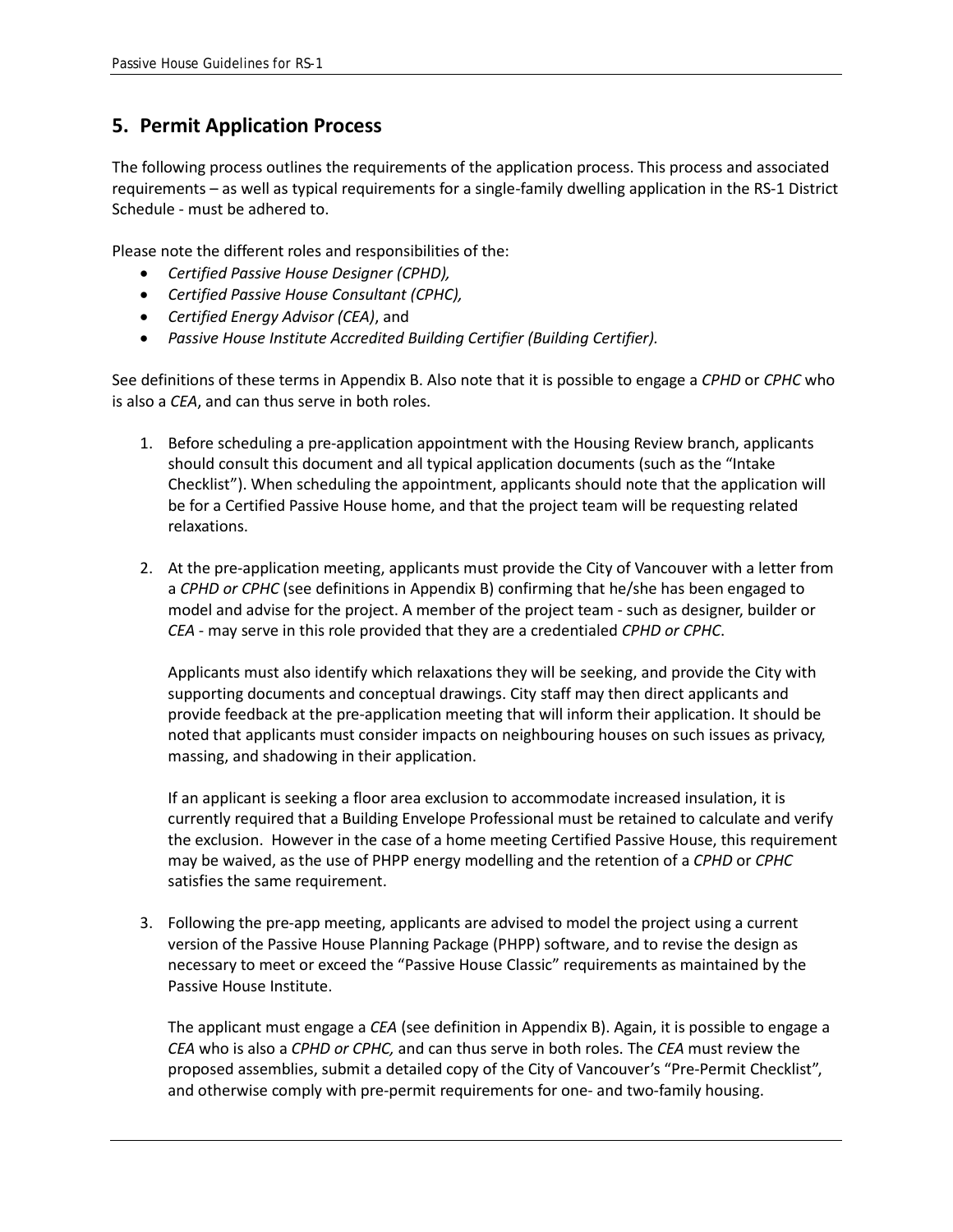### **5. Permit Application Process**

The following process outlines the requirements of the application process. This process and associated requirements – as well as typical requirements for a single-family dwelling application in the RS-1 District Schedule - must be adhered to.

Please note the different roles and responsibilities of the:

- *Certified Passive House Designer (CPHD),*
- *Certified Passive House Consultant (CPHC),*
- *Certified Energy Advisor (CEA)*, and
- *Passive House Institute Accredited Building Certifier (Building Certifier).*

See definitions of these terms in Appendix B. Also note that it is possible to engage a *CPHD* or *CPHC* who is also a *CEA*, and can thus serve in both roles.

- 1. Before scheduling a pre-application appointment with the Housing Review branch, applicants should consult this document and all typical application documents (such as the "Intake Checklist"). When scheduling the appointment, applicants should note that the application will be for a Certified Passive House home, and that the project team will be requesting related relaxations.
- 2. At the pre-application meeting, applicants must provide the City of Vancouver with a letter from a *CPHD or CPHC* (see definitions in Appendix B) confirming that he/she has been engaged to model and advise for the project. A member of the project team - such as designer, builder or *CEA* - may serve in this role provided that they are a credentialed *CPHD or CPHC*.

Applicants must also identify which relaxations they will be seeking, and provide the City with supporting documents and conceptual drawings. City staff may then direct applicants and provide feedback at the pre-application meeting that will inform their application. It should be noted that applicants must consider impacts on neighbouring houses on such issues as privacy, massing, and shadowing in their application.

If an applicant is seeking a floor area exclusion to accommodate increased insulation, it is currently required that a Building Envelope Professional must be retained to calculate and verify the exclusion. However in the case of a home meeting Certified Passive House, this requirement may be waived, as the use of PHPP energy modelling and the retention of a *CPHD* or *CPHC* satisfies the same requirement.

3. Following the pre-app meeting, applicants are advised to model the project using a current version of the Passive House Planning Package (PHPP) software, and to revise the design as necessary to meet or exceed the "Passive House Classic" requirements as maintained by the Passive House Institute.

The applicant must engage a *CEA* (see definition in Appendix B). Again, it is possible to engage a *CEA* who is also a *CPHD or CPHC,* and can thus serve in both roles. The *CEA* must review the proposed assemblies, submit a detailed copy of the City of Vancouver's "Pre-Permit Checklist", and otherwise comply with pre-permit requirements for one- and two-family housing.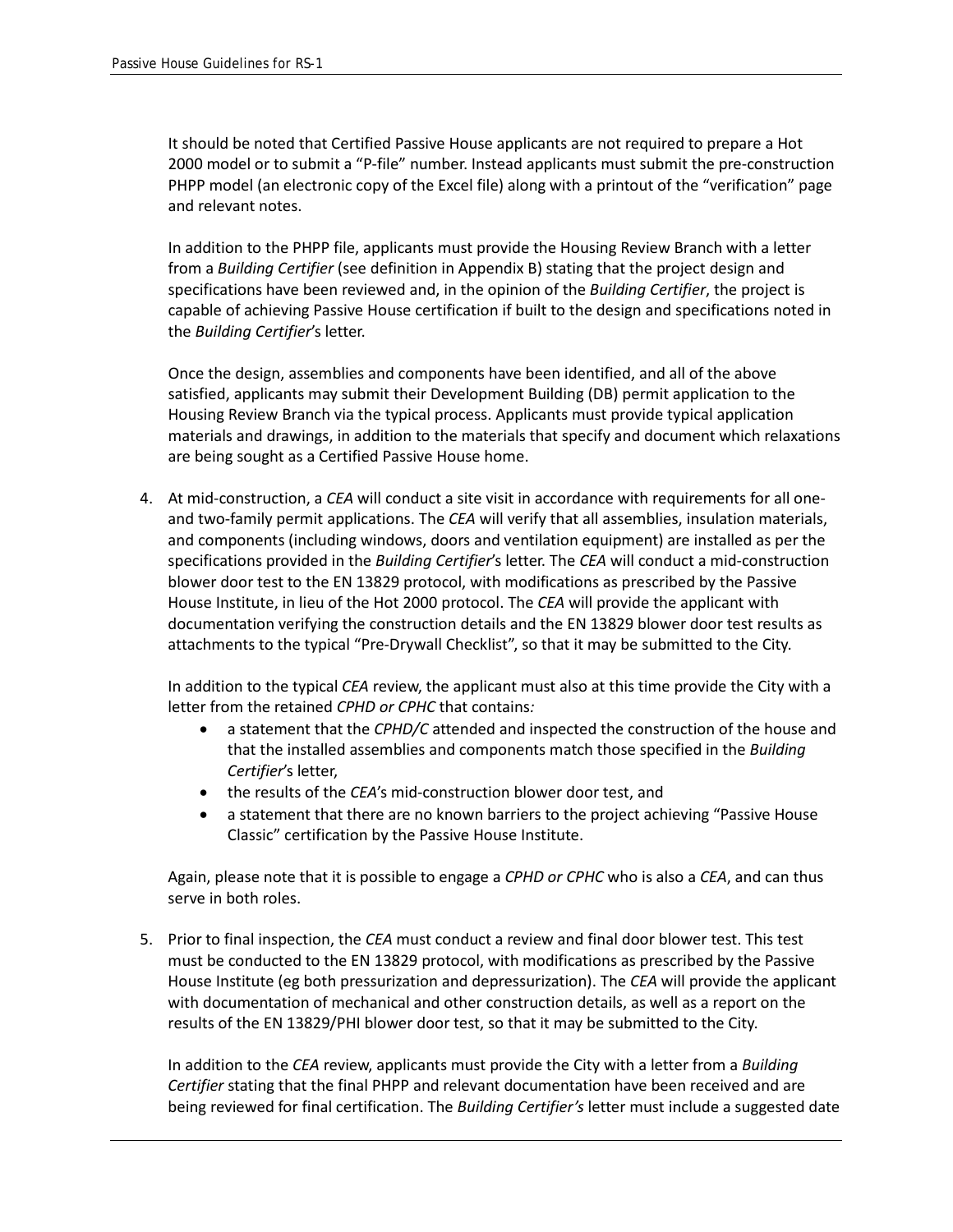It should be noted that Certified Passive House applicants are not required to prepare a Hot 2000 model or to submit a "P-file" number. Instead applicants must submit the pre-construction PHPP model (an electronic copy of the Excel file) along with a printout of the "verification" page and relevant notes.

In addition to the PHPP file, applicants must provide the Housing Review Branch with a letter from a *Building Certifier* (see definition in Appendix B) stating that the project design and specifications have been reviewed and, in the opinion of the *Building Certifier*, the project is capable of achieving Passive House certification if built to the design and specifications noted in the *Building Certifier*'s letter.

Once the design, assemblies and components have been identified, and all of the above satisfied, applicants may submit their Development Building (DB) permit application to the Housing Review Branch via the typical process. Applicants must provide typical application materials and drawings, in addition to the materials that specify and document which relaxations are being sought as a Certified Passive House home.

4. At mid-construction, a *CEA* will conduct a site visit in accordance with requirements for all oneand two-family permit applications. The *CEA* will verify that all assemblies, insulation materials, and components (including windows, doors and ventilation equipment) are installed as per the specifications provided in the *Building Certifier*'s letter. The *CEA* will conduct a mid-construction blower door test to the EN 13829 protocol, with modifications as prescribed by the Passive House Institute, in lieu of the Hot 2000 protocol. The *CEA* will provide the applicant with documentation verifying the construction details and the EN 13829 blower door test results as attachments to the typical "Pre-Drywall Checklist", so that it may be submitted to the City.

In addition to the typical *CEA* review, the applicant must also at this time provide the City with a letter from the retained *CPHD or CPHC* that contains*:*

- a statement that the *CPHD/C* attended and inspected the construction of the house and that the installed assemblies and components match those specified in the *Building Certifier*'s letter,
- the results of the *CEA*'s mid-construction blower door test, and
- a statement that there are no known barriers to the project achieving "Passive House Classic" certification by the Passive House Institute.

Again, please note that it is possible to engage a *CPHD or CPHC* who is also a *CEA*, and can thus serve in both roles.

5. Prior to final inspection, the *CEA* must conduct a review and final door blower test. This test must be conducted to the EN 13829 protocol, with modifications as prescribed by the Passive House Institute (eg both pressurization and depressurization). The *CEA* will provide the applicant with documentation of mechanical and other construction details, as well as a report on the results of the EN 13829/PHI blower door test, so that it may be submitted to the City.

In addition to the *CEA* review, applicants must provide the City with a letter from a *Building Certifier* stating that the final PHPP and relevant documentation have been received and are being reviewed for final certification. The *Building Certifier's* letter must include a suggested date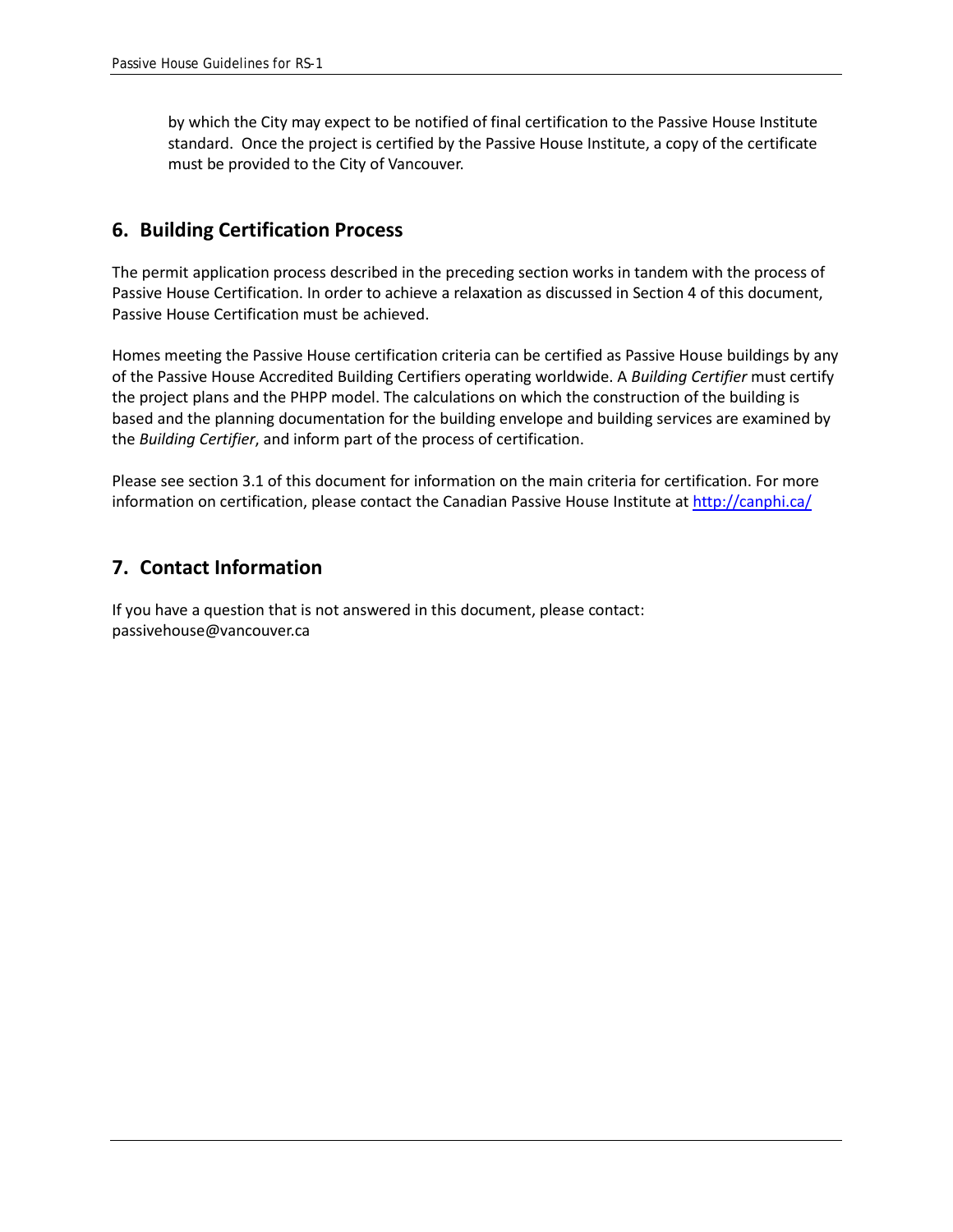by which the City may expect to be notified of final certification to the Passive House Institute standard. Once the project is certified by the Passive House Institute, a copy of the certificate must be provided to the City of Vancouver.

#### **6. Building Certification Process**

The permit application process described in the preceding section works in tandem with the process of Passive House Certification. In order to achieve a relaxation as discussed in Section 4 of this document, Passive House Certification must be achieved.

Homes meeting the Passive House certification criteria can be certified as Passive House buildings by any of the Passive House Accredited Building Certifiers operating worldwide. A *Building Certifier* must certify the project plans and the PHPP model. The calculations on which the construction of the building is based and the planning documentation for the building envelope and building services are examined by the *Building Certifier*, and inform part of the process of certification.

Please see section 3.1 of this document for information on the main criteria for certification. For more information on certification, please contact the Canadian Passive House Institute at<http://canphi.ca/>

#### **7. Contact Information**

If you have a question that is not answered in this document, please contact: passivehouse@vancouver.ca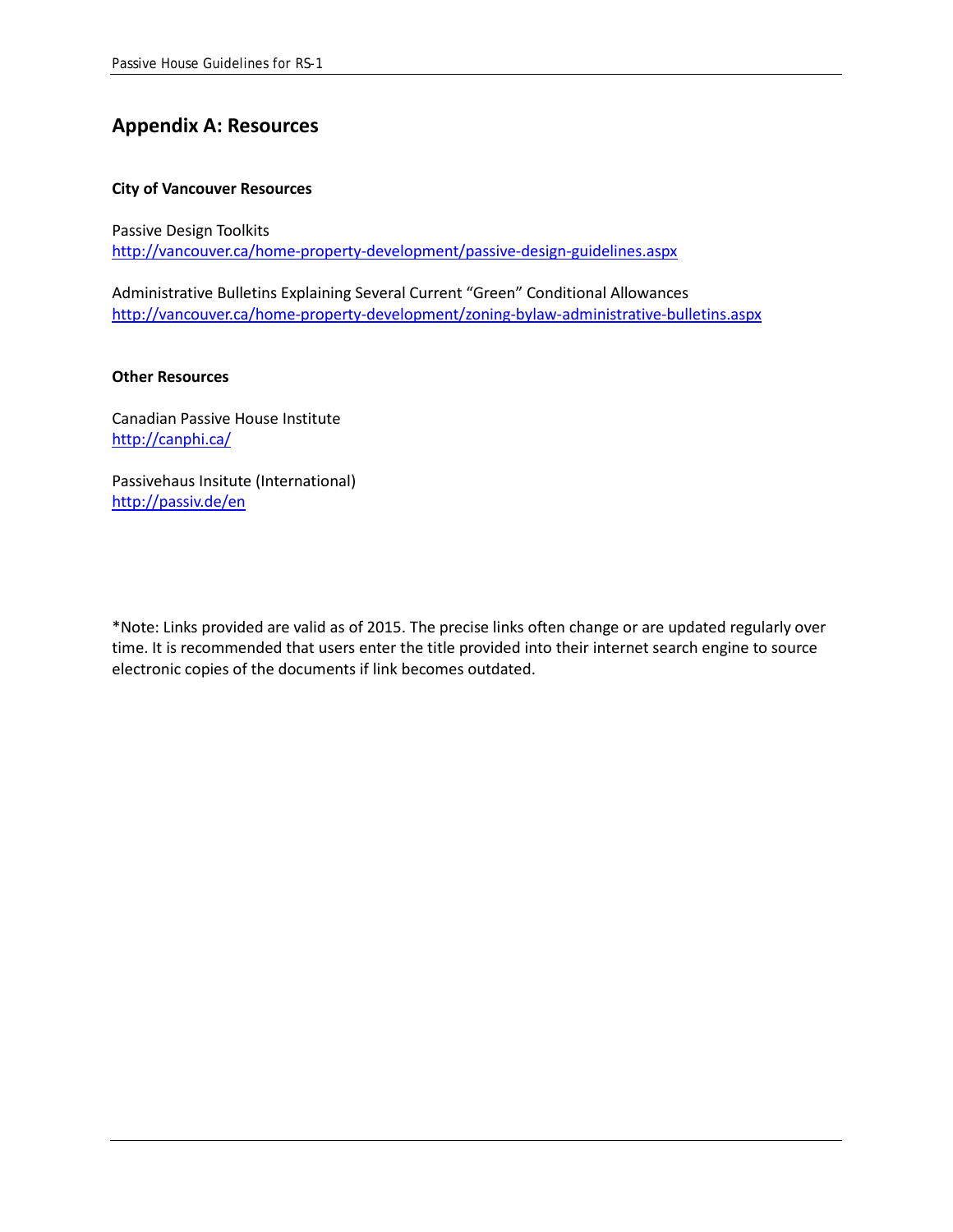## **Appendix A: Resources**

#### **City of Vancouver Resources**

Passive Design Toolkits <http://vancouver.ca/home-property-development/passive-design-guidelines.aspx>

Administrative Bulletins Explaining Several Current "Green" Conditional Allowances <http://vancouver.ca/home-property-development/zoning-bylaw-administrative-bulletins.aspx>

#### **Other Resources**

Canadian Passive House Institute <http://canphi.ca/>

Passivehaus Insitute (International) <http://passiv.de/en>

\*Note: Links provided are valid as of 2015. The precise links often change or are updated regularly over time. It is recommended that users enter the title provided into their internet search engine to source electronic copies of the documents if link becomes outdated.